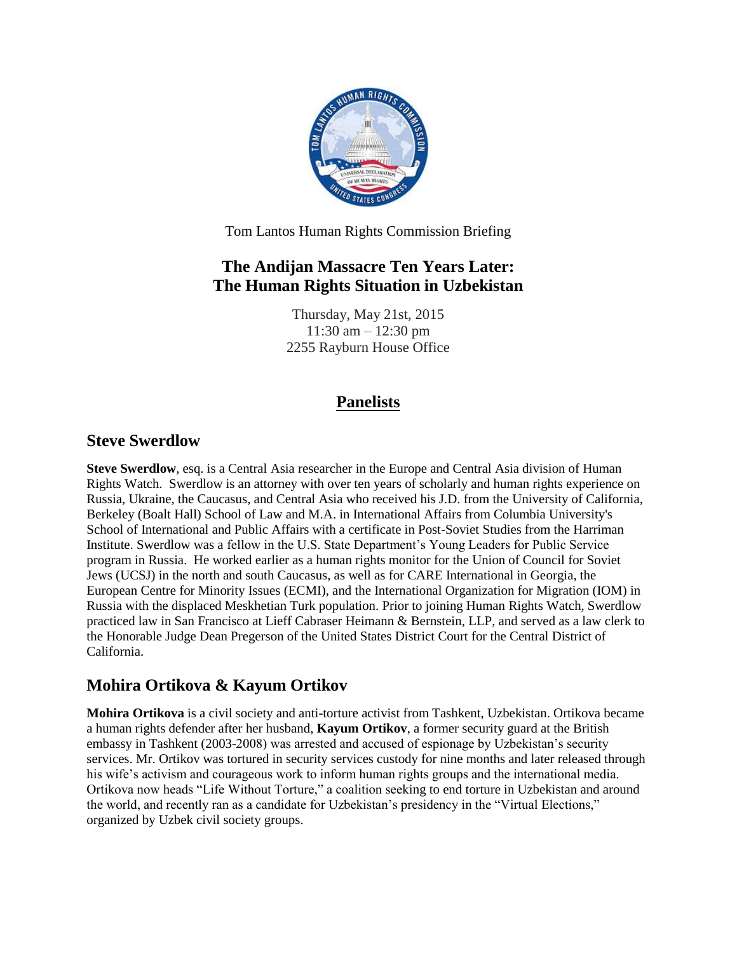

Tom Lantos Human Rights Commission Briefing

# **The Andijan Massacre Ten Years Later: The Human Rights Situation in Uzbekistan**

Thursday, May 21st, 2015 11:30 am – 12:30 pm 2255 Rayburn House Office

# **Panelists**

### **Steve Swerdlow**

**Steve Swerdlow**, esq. is a Central Asia researcher in the Europe and Central Asia division of Human Rights Watch. Swerdlow is an attorney with over ten years of scholarly and human rights experience on Russia, Ukraine, the Caucasus, and Central Asia who received his J.D. from the University of California, Berkeley (Boalt Hall) School of Law and M.A. in International Affairs from Columbia University's School of International and Public Affairs with a certificate in Post-Soviet Studies from the Harriman Institute. Swerdlow was a fellow in the U.S. State Department's Young Leaders for Public Service program in Russia. He worked earlier as a human rights monitor for the Union of Council for Soviet Jews (UCSJ) in the north and south Caucasus, as well as for CARE International in Georgia, the European Centre for Minority Issues (ECMI), and the International Organization for Migration (IOM) in Russia with the displaced Meskhetian Turk population. Prior to joining Human Rights Watch, Swerdlow practiced law in San Francisco at Lieff Cabraser Heimann & Bernstein, LLP, and served as a law clerk to the Honorable Judge Dean Pregerson of the United States District Court for the Central District of California.

# **Mohira Ortikova & Kayum Ortikov**

**Mohira Ortikova** is a civil society and anti-torture activist from Tashkent, Uzbekistan. Ortikova became a human rights defender after her husband, **Kayum Ortikov**, a former security guard at the British embassy in Tashkent (2003-2008) was arrested and accused of espionage by Uzbekistan's security services. Mr. Ortikov was tortured in security services custody for nine months and later released through his wife's activism and courageous work to inform human rights groups and the international media. Ortikova now heads "Life Without Torture," a coalition seeking to end torture in Uzbekistan and around the world, and recently ran as a candidate for Uzbekistan's presidency in the "Virtual Elections," organized by Uzbek civil society groups.